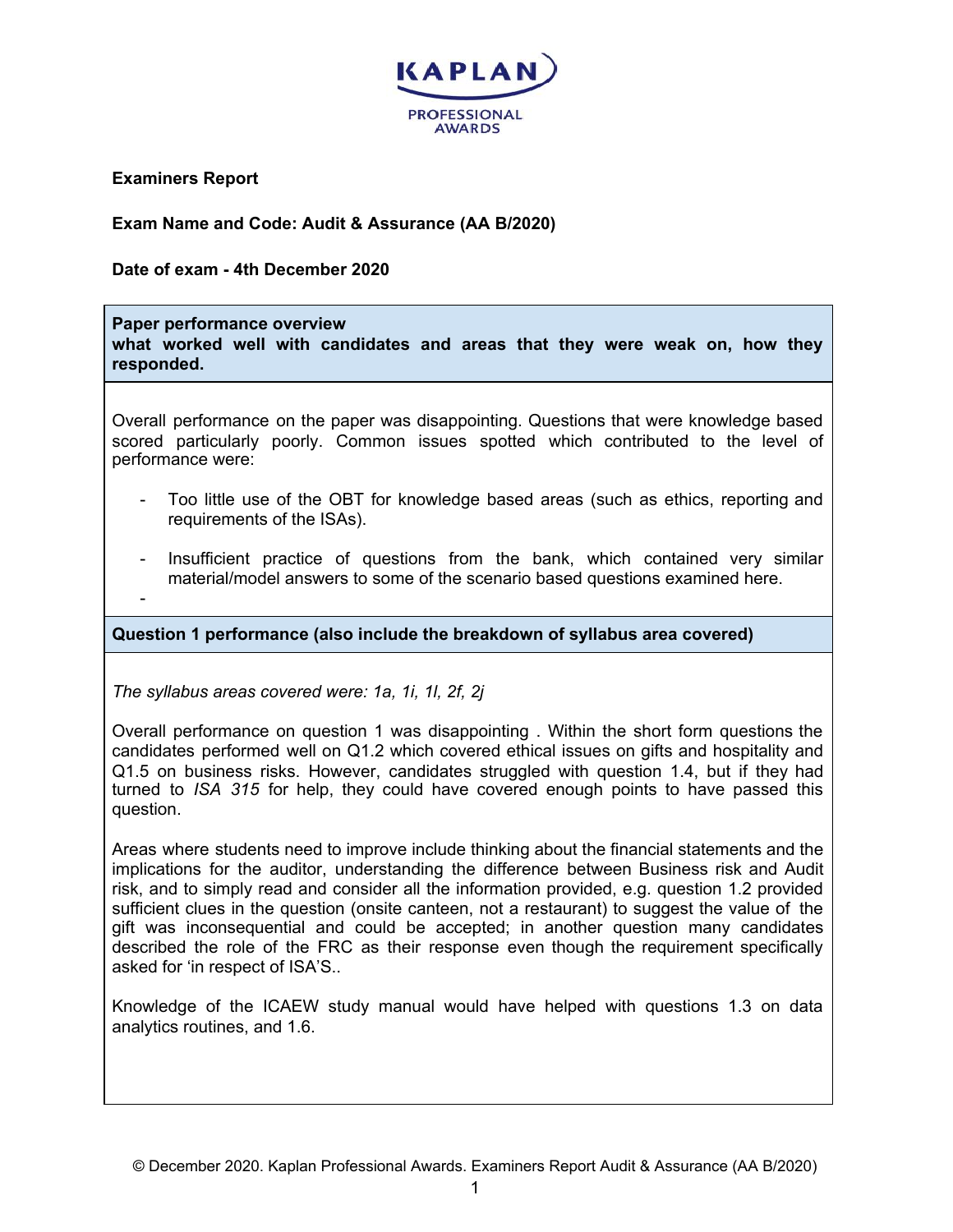

**Examiners Report**

**Exam Name and Code: Audit & Assurance (AA B/2020)**

**Date of exam - 4th December 2020**

## **Paper performance overview**

**what worked well with candidates and areas that they were weak on, how they responded.**

Overall performance on the paper was disappointing. Questions that were knowledge based scored particularly poorly. Common issues spotted which contributed to the level of performance were:

- Too little use of the OBT for knowledge based areas (such as ethics, reporting and requirements of the ISAs).
- Insufficient practice of questions from the bank, which contained very similar material/model answers to some of the scenario based questions examined here.
- -

**Question 1 performance (also include the breakdown of syllabus area covered)**

*The syllabus areas covered were: 1a, 1i, 1l, 2f, 2j*

Overall performance on question 1 was disappointing . Within the short form questions the candidates performed well on Q1.2 which covered ethical issues on gifts and hospitality and Q1.5 on business risks. However, candidates struggled with question 1.4, but if they had turned to *ISA 315* for help, they could have covered enough points to have passed this question.

Areas where students need to improve include thinking about the financial statements and the implications for the auditor, understanding the difference between Business risk and Audit risk, and to simply read and consider all the information provided, e.g. question 1.2 provided sufficient clues in the question (onsite canteen, not a restaurant) to suggest the value of the gift was inconsequential and could be accepted; in another question many candidates described the role of the FRC as their response even though the requirement specifically asked for 'in respect of ISA'S..

Knowledge of the ICAEW study manual would have helped with questions 1.3 on data analytics routines, and 1.6.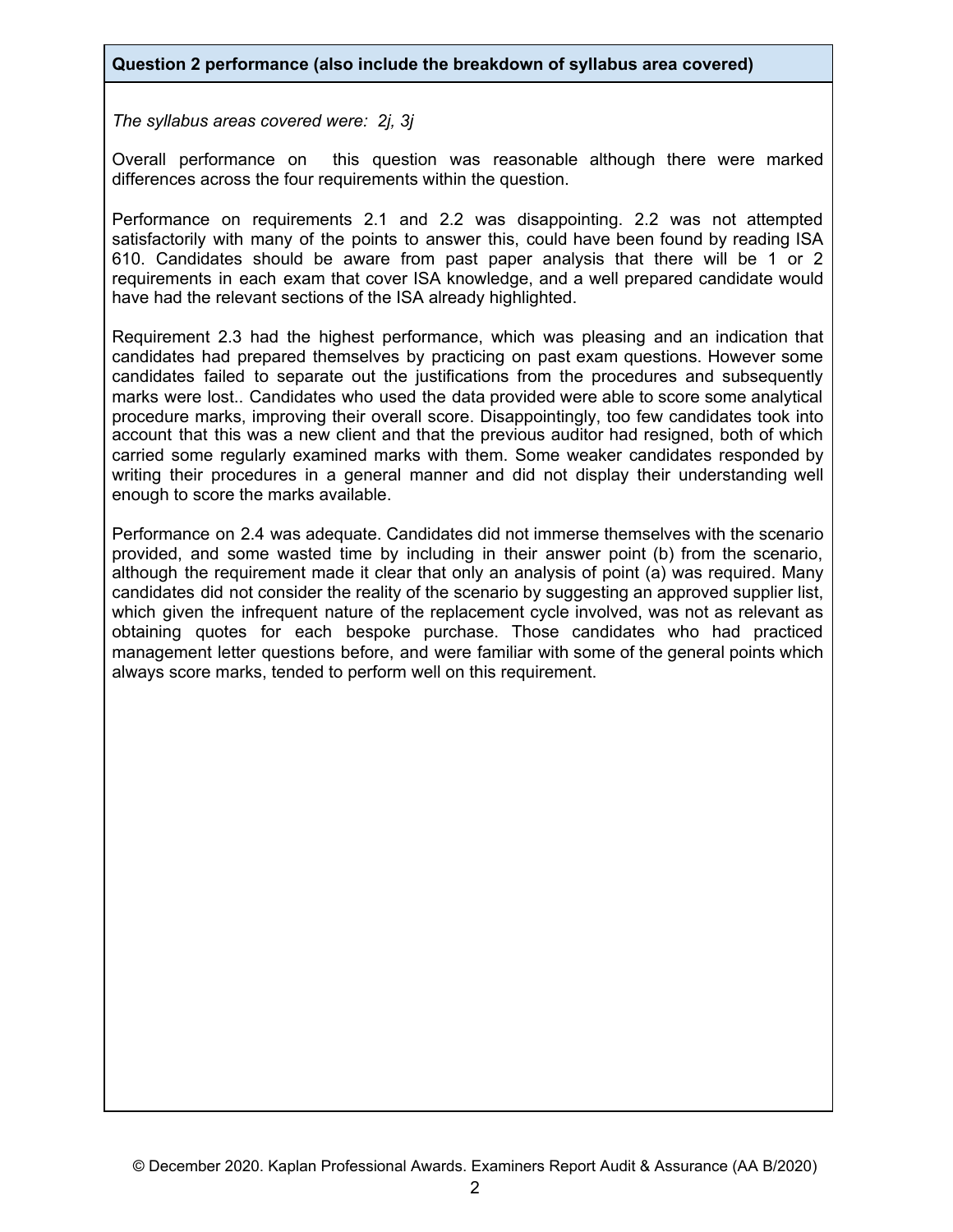## **Question 2 performance (also include the breakdown of syllabus area covered)**

*The syllabus areas covered were: 2j, 3j*

Overall performance on this question was reasonable although there were marked differences across the four requirements within the question.

Performance on requirements 2.1 and 2.2 was disappointing. 2.2 was not attempted satisfactorily with many of the points to answer this, could have been found by reading ISA 610. Candidates should be aware from past paper analysis that there will be 1 or 2 requirements in each exam that cover ISA knowledge, and a well prepared candidate would have had the relevant sections of the ISA already highlighted.

Requirement 2.3 had the highest performance, which was pleasing and an indication that candidates had prepared themselves by practicing on past exam questions. However some candidates failed to separate out the justifications from the procedures and subsequently marks were lost.. Candidates who used the data provided were able to score some analytical procedure marks, improving their overall score. Disappointingly, too few candidates took into account that this was a new client and that the previous auditor had resigned, both of which carried some regularly examined marks with them. Some weaker candidates responded by writing their procedures in a general manner and did not display their understanding well enough to score the marks available.

Performance on 2.4 was adequate. Candidates did not immerse themselves with the scenario provided, and some wasted time by including in their answer point (b) from the scenario, although the requirement made it clear that only an analysis of point (a) was required. Many candidates did not consider the reality of the scenario by suggesting an approved supplier list, which given the infrequent nature of the replacement cycle involved, was not as relevant as obtaining quotes for each bespoke purchase. Those candidates who had practiced management letter questions before, and were familiar with some of the general points which always score marks, tended to perform well on this requirement.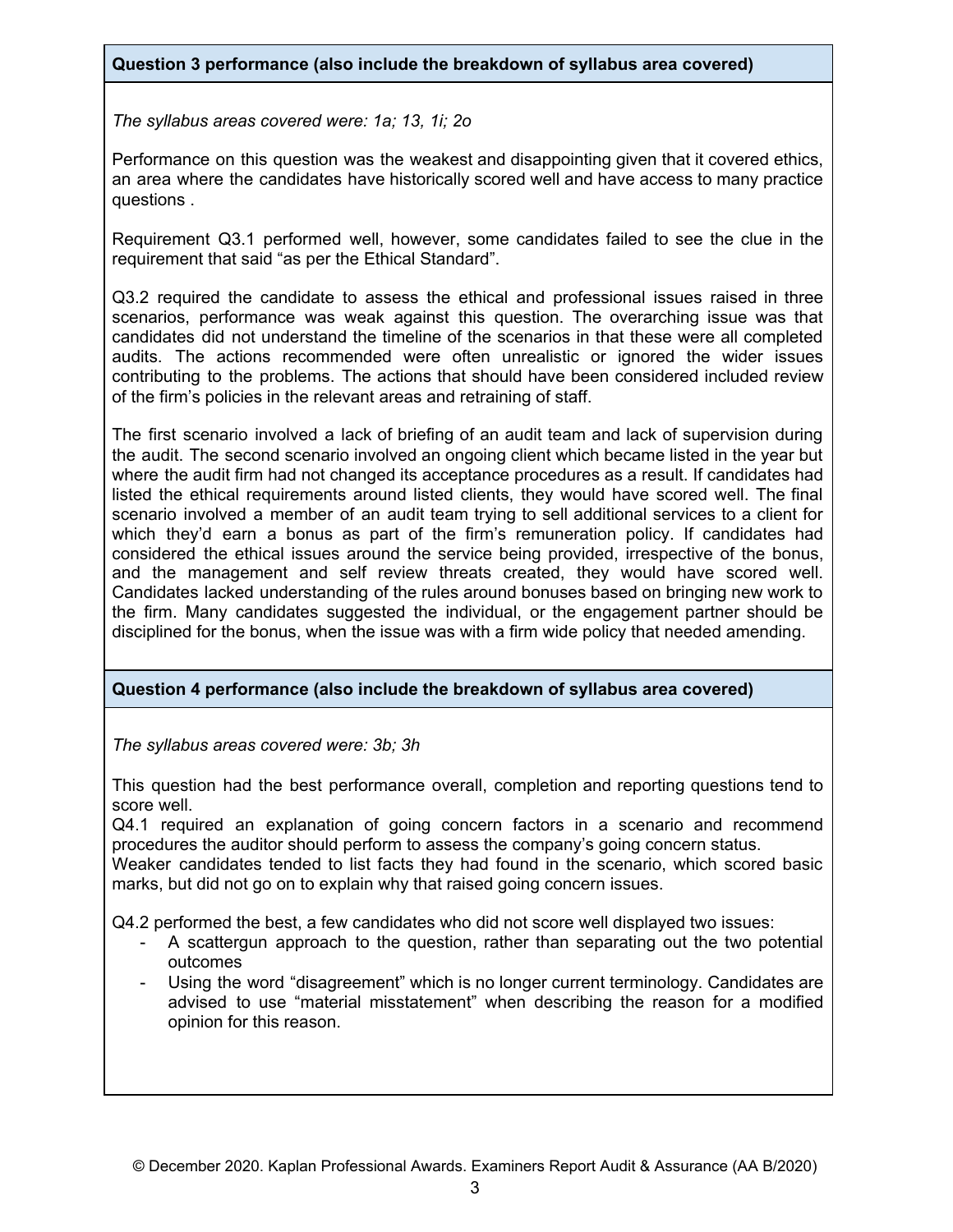*The syllabus areas covered were: 1a; 13, 1i; 2o*

Performance on this question was the weakest and disappointing given that it covered ethics, an area where the candidates have historically scored well and have access to many practice questions .

Requirement Q3.1 performed well, however, some candidates failed to see the clue in the requirement that said "as per the Ethical Standard".

Q3.2 required the candidate to assess the ethical and professional issues raised in three scenarios, performance was weak against this question. The overarching issue was that candidates did not understand the timeline of the scenarios in that these were all completed audits. The actions recommended were often unrealistic or ignored the wider issues contributing to the problems. The actions that should have been considered included review of the firm's policies in the relevant areas and retraining of staff.

The first scenario involved a lack of briefing of an audit team and lack of supervision during the audit. The second scenario involved an ongoing client which became listed in the year but where the audit firm had not changed its acceptance procedures as a result. If candidates had listed the ethical requirements around listed clients, they would have scored well. The final scenario involved a member of an audit team trying to sell additional services to a client for which they'd earn a bonus as part of the firm's remuneration policy. If candidates had considered the ethical issues around the service being provided, irrespective of the bonus, and the management and self review threats created, they would have scored well. Candidates lacked understanding of the rules around bonuses based on bringing new work to the firm. Many candidates suggested the individual, or the engagement partner should be disciplined for the bonus, when the issue was with a firm wide policy that needed amending.

## **Question 4 performance (also include the breakdown of syllabus area covered)**

*The syllabus areas covered were: 3b; 3h*

This question had the best performance overall, completion and reporting questions tend to score well.

Q4.1 required an explanation of going concern factors in a scenario and recommend procedures the auditor should perform to assess the company's going concern status.

Weaker candidates tended to list facts they had found in the scenario, which scored basic marks, but did not go on to explain why that raised going concern issues.

Q4.2 performed the best, a few candidates who did not score well displayed two issues:

- A scattergun approach to the question, rather than separating out the two potential outcomes
- Using the word "disagreement" which is no longer current terminology. Candidates are advised to use "material misstatement" when describing the reason for a modified opinion for this reason.